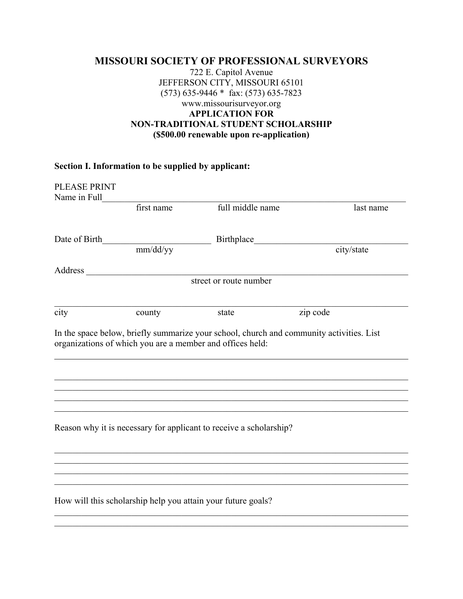## **MISSOURI SOCIETY OF PROFESSIONAL SURVEYORS** 722 E. Capitol Avenue JEFFERSON CITY, MISSOURI 65101 (573) 635-9446 \* fax: (573) 635-7823 www.missourisurveyor.org **APPLICATION FOR NON-TRADITIONAL STUDENT SCHOLARSHIP (\$500.00 renewable upon re-application)**

## **Section I. Information to be supplied by applicant:**

| <b>PLEASE PRINT</b> |                                                              |                                                                                          |            |
|---------------------|--------------------------------------------------------------|------------------------------------------------------------------------------------------|------------|
| Name in Full        |                                                              |                                                                                          |            |
|                     | first name                                                   | full middle name                                                                         | last name  |
|                     |                                                              |                                                                                          |            |
| Date of Birth       |                                                              | Birthplace                                                                               |            |
|                     | mm/dd/yy                                                     |                                                                                          | city/state |
| Address             |                                                              |                                                                                          |            |
|                     |                                                              | street or route number                                                                   |            |
|                     |                                                              |                                                                                          |            |
| city                | county                                                       | state                                                                                    | zip code   |
|                     |                                                              |                                                                                          |            |
|                     |                                                              | In the space below, briefly summarize your school, church and community activities. List |            |
|                     | organizations of which you are a member and offices held:    |                                                                                          |            |
|                     |                                                              |                                                                                          |            |
|                     |                                                              |                                                                                          |            |
|                     |                                                              |                                                                                          |            |
|                     |                                                              |                                                                                          |            |
|                     |                                                              |                                                                                          |            |
|                     |                                                              |                                                                                          |            |
|                     |                                                              |                                                                                          |            |
|                     |                                                              | Reason why it is necessary for applicant to receive a scholarship?                       |            |
|                     |                                                              |                                                                                          |            |
|                     |                                                              |                                                                                          |            |
|                     |                                                              |                                                                                          |            |
|                     |                                                              |                                                                                          |            |
|                     |                                                              |                                                                                          |            |
|                     |                                                              |                                                                                          |            |
|                     | How will this scholarship help you attain your future goals? |                                                                                          |            |
|                     |                                                              |                                                                                          |            |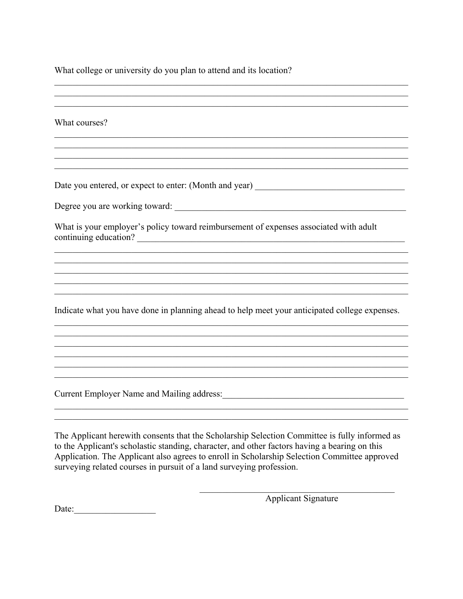What college or university do you plan to attend and its location?

What courses?

Date you entered, or expect to enter: (Month and year) \_\_\_\_\_\_\_\_\_\_\_\_\_\_\_\_\_\_\_\_\_\_\_\_\_\_

What is your employer's policy toward reimbursement of expenses associated with adult continuing education?

Indicate what you have done in planning ahead to help meet your anticipated college expenses.

<u> 1989 - Johann Stoff, amerikansk politiker (d. 1989)</u>

The Applicant herewith consents that the Scholarship Selection Committee is fully informed as to the Applicant's scholastic standing, character, and other factors having a bearing on this Application. The Applicant also agrees to enroll in Scholarship Selection Committee approved surveying related courses in pursuit of a land surveying profession.

**Applicant Signature** 

Date: